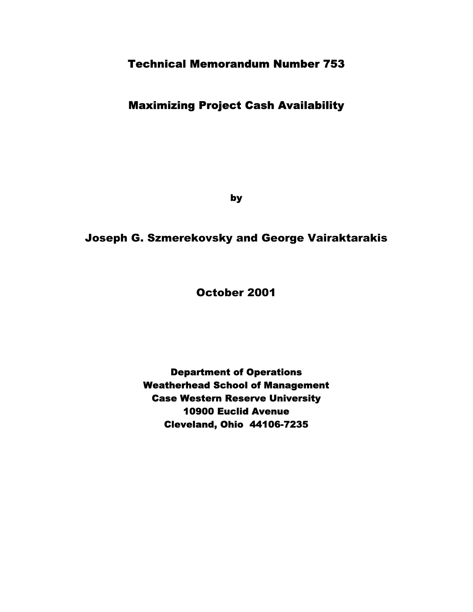# Technical Memorandum Number 753

# Maximizing Project Cash Availability

by

# Joseph G. Szmerekovsky and George Vairaktarakis

October 2001

Department of Operations Weatherhead School of Management Case Western Reserve University 10900 Euclid Avenue Cleveland, Ohio 44106-7235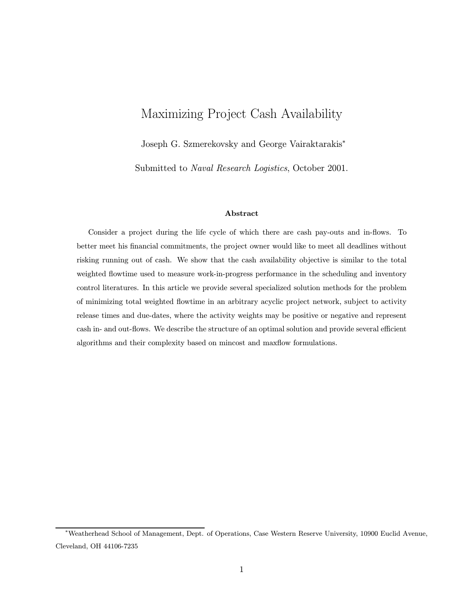# Maximizing Project Cash Availability

Joseph G. Szmerekovsky and George Vairaktarakis<sup>∗</sup>

Submitted to Naval Research Logistics, October 2001.

#### Abstract

Consider a project during the life cycle of which there are cash pay-outs and in-flows. To better meet his financial commitments, the project owner would like to meet all deadlines without risking running out of cash. We show that the cash availability objective is similar to the total weighted flowtime used to measure work-in-progress performance in the scheduling and inventory control literatures. In this article we provide several specialized solution methods for the problem of minimizing total weighted flowtime in an arbitrary acyclic project network, subject to activity release times and due-dates, where the activity weights may be positive or negative and represent cash in- and out-flows. We describe the structure of an optimal solution and provide several efficient algorithms and their complexity based on mincost and maxflow formulations.

<sup>∗</sup>Weatherhead School of Management, Dept. of Operations, Case Western Reserve University, 10900 Euclid Avenue, Cleveland, OH 44106-7235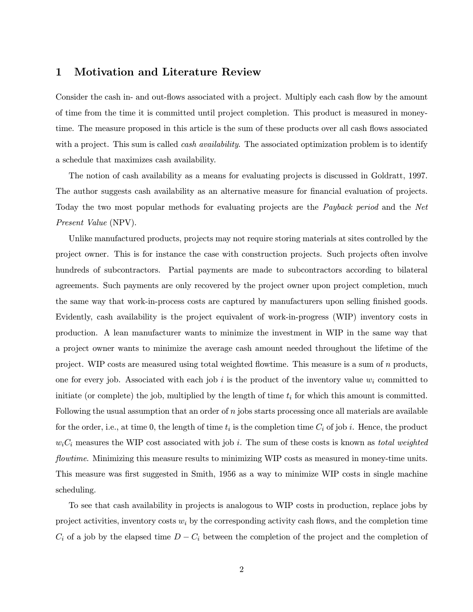# 1 Motivation and Literature Review

Consider the cash in- and out-flows associated with a project. Multiply each cash flow by the amount of time from the time it is committed until project completion. This product is measured in moneytime. The measure proposed in this article is the sum of these products over all cash flows associated with a project. This sum is called *cash availability*. The associated optimization problem is to identify a schedule that maximizes cash availability.

The notion of cash availability as a means for evaluating projects is discussed in Goldratt, 1997. The author suggests cash availability as an alternative measure for financial evaluation of projects. Today the two most popular methods for evaluating projects are the Payback period and the Net Present Value (NPV).

Unlike manufactured products, projects may not require storing materials at sites controlled by the project owner. This is for instance the case with construction projects. Such projects often involve hundreds of subcontractors. Partial payments are made to subcontractors according to bilateral agreements. Such payments are only recovered by the project owner upon project completion, much the same way that work-in-process costs are captured by manufacturers upon selling finished goods. Evidently, cash availability is the project equivalent of work-in-progress (WIP) inventory costs in production. A lean manufacturer wants to minimize the investment in WIP in the same way that a project owner wants to minimize the average cash amount needed throughout the lifetime of the project. WIP costs are measured using total weighted flowtime. This measure is a sum of  $n$  products, one for every job. Associated with each job i is the product of the inventory value  $w_i$  committed to initiate (or complete) the job, multiplied by the length of time  $t_i$  for which this amount is committed. Following the usual assumption that an order of  $n$  jobs starts processing once all materials are available for the order, i.e., at time 0, the length of time  $t_i$  is the completion time  $C_i$  of job i. Hence, the product  $w_iC_i$  measures the WIP cost associated with job i. The sum of these costs is known as total weighted flowtime. Minimizing this measure results to minimizing WIP costs as measured in money-time units. This measure was first suggested in Smith, 1956 as a way to minimize WIP costs in single machine scheduling.

To see that cash availability in projects is analogous to WIP costs in production, replace jobs by project activities, inventory costs  $w_i$  by the corresponding activity cash flows, and the completion time  $C_i$  of a job by the elapsed time  $D - C_i$  between the completion of the project and the completion of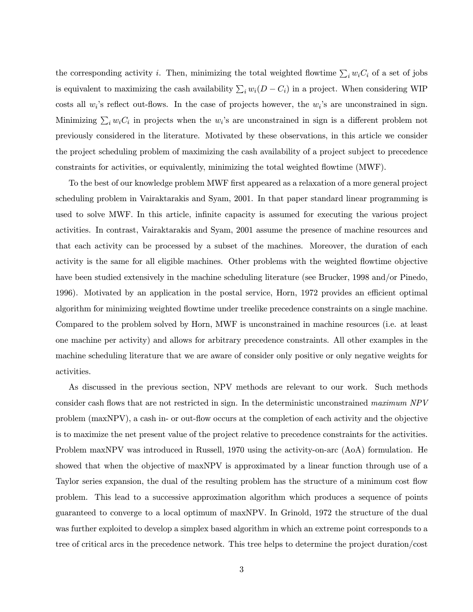the corresponding activity *i*. Then, minimizing the total weighted flowtime  $\sum_i w_i C_i$  of a set of jobs is equivalent to maximizing the cash availability  $\sum_i w_i(D - C_i)$  in a project. When considering WIP costs all  $w_i$ 's reflect out-flows. In the case of projects however, the  $w_i$ 's are unconstrained in sign. Minimizing  $\sum_i w_i C_i$  in projects when the  $w_i$ 's are unconstrained in sign is a different problem not previously considered in the literature. Motivated by these observations, in this article we consider the project scheduling problem of maximizing the cash availability of a project subject to precedence constraints for activities, or equivalently, minimizing the total weighted flowtime (MWF).

To the best of our knowledge problem MWF first appeared as a relaxation of a more general project scheduling problem in Vairaktarakis and Syam, 2001. In that paper standard linear programming is used to solve MWF. In this article, infinite capacity is assumed for executing the various project activities. In contrast, Vairaktarakis and Syam, 2001 assume the presence of machine resources and that each activity can be processed by a subset of the machines. Moreover, the duration of each activity is the same for all eligible machines. Other problems with the weighted flowtime objective have been studied extensively in the machine scheduling literature (see Brucker, 1998 and/or Pinedo, 1996). Motivated by an application in the postal service, Horn, 1972 provides an efficient optimal algorithm for minimizing weighted flowtime under treelike precedence constraints on a single machine. Compared to the problem solved by Horn, MWF is unconstrained in machine resources (i.e. at least one machine per activity) and allows for arbitrary precedence constraints. All other examples in the machine scheduling literature that we are aware of consider only positive or only negative weights for activities.

As discussed in the previous section, NPV methods are relevant to our work. Such methods consider cash flows that are not restricted in sign. In the deterministic unconstrained maximum NPV problem (maxNPV), a cash in- or out-flow occurs at the completion of each activity and the objective is to maximize the net present value of the project relative to precedence constraints for the activities. Problem maxNPV was introduced in Russell, 1970 using the activity-on-arc (AoA) formulation. He showed that when the objective of maxNPV is approximated by a linear function through use of a Taylor series expansion, the dual of the resulting problem has the structure of a minimum cost flow problem. This lead to a successive approximation algorithm which produces a sequence of points guaranteed to converge to a local optimum of maxNPV. In Grinold, 1972 the structure of the dual was further exploited to develop a simplex based algorithm in which an extreme point corresponds to a tree of critical arcs in the precedence network. This tree helps to determine the project duration/cost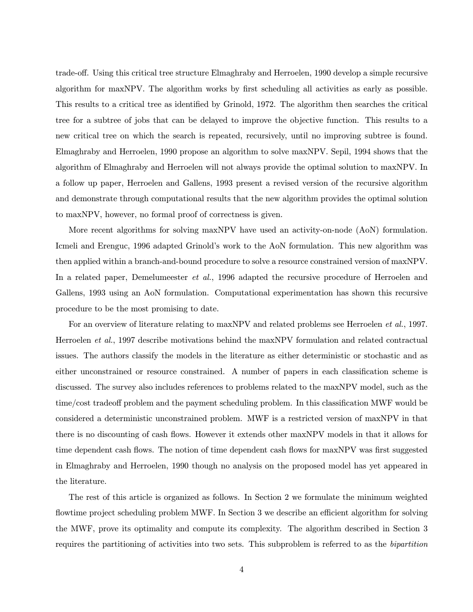trade-off. Using this critical tree structure Elmaghraby and Herroelen, 1990 develop a simple recursive algorithm for maxNPV. The algorithm works by first scheduling all activities as early as possible. This results to a critical tree as identified by Grinold, 1972. The algorithm then searches the critical tree for a subtree of jobs that can be delayed to improve the objective function. This results to a new critical tree on which the search is repeated, recursively, until no improving subtree is found. Elmaghraby and Herroelen, 1990 propose an algorithm to solve maxNPV. Sepil, 1994 shows that the algorithm of Elmaghraby and Herroelen will not always provide the optimal solution to maxNPV. In a follow up paper, Herroelen and Gallens, 1993 present a revised version of the recursive algorithm and demonstrate through computational results that the new algorithm provides the optimal solution to maxNPV, however, no formal proof of correctness is given.

More recent algorithms for solving maxNPV have used an activity-on-node (AoN) formulation. Icmeli and Erenguc, 1996 adapted Grinold's work to the AoN formulation. This new algorithm was then applied within a branch-and-bound procedure to solve a resource constrained version of maxNPV. In a related paper, Demelumeester *et al.*, 1996 adapted the recursive procedure of Herroelen and Gallens, 1993 using an AoN formulation. Computational experimentation has shown this recursive procedure to be the most promising to date.

For an overview of literature relating to maxNPV and related problems see Herroelen et al., 1997. Herroelen et al., 1997 describe motivations behind the maxNPV formulation and related contractual issues. The authors classify the models in the literature as either deterministic or stochastic and as either unconstrained or resource constrained. A number of papers in each classification scheme is discussed. The survey also includes references to problems related to the maxNPV model, such as the time/cost tradeoff problem and the payment scheduling problem. In this classification MWF would be considered a deterministic unconstrained problem. MWF is a restricted version of maxNPV in that there is no discounting of cash flows. However it extends other maxNPV models in that it allows for time dependent cash flows. The notion of time dependent cash flows for maxNPV was first suggested in Elmaghraby and Herroelen, 1990 though no analysis on the proposed model has yet appeared in the literature.

The rest of this article is organized as follows. In Section 2 we formulate the minimum weighted flowtime project scheduling problem MWF. In Section 3 we describe an efficient algorithm for solving the MWF, prove its optimality and compute its complexity. The algorithm described in Section 3 requires the partitioning of activities into two sets. This subproblem is referred to as the bipartition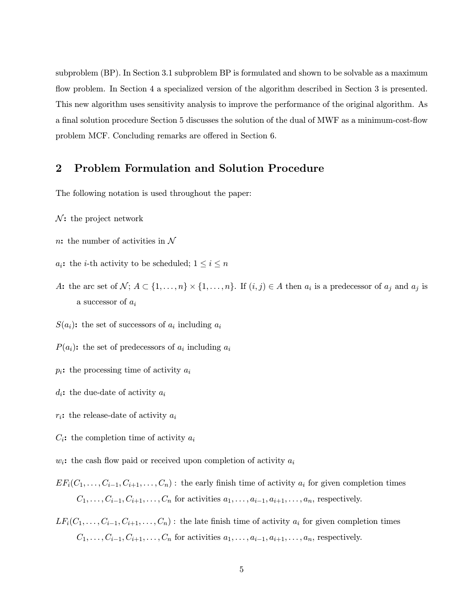subproblem (BP). In Section 3.1 subproblem BP is formulated and shown to be solvable as a maximum flow problem. In Section 4 a specialized version of the algorithm described in Section 3 is presented. This new algorithm uses sensitivity analysis to improve the performance of the original algorithm. As a final solution procedure Section 5 discusses the solution of the dual of MWF as a minimum-cost-flow problem MCF. Concluding remarks are offered in Section 6.

## 2 Problem Formulation and Solution Procedure

The following notation is used throughout the paper:

- $\mathcal{N}$ : the project network
- n: the number of activities in  $\mathcal N$
- $a_i$ : the *i*-th activity to be scheduled;  $1 \leq i \leq n$
- A: the arc set of  $\mathcal{N}; A \subset \{1,\ldots,n\} \times \{1,\ldots,n\}$ . If  $(i, j) \in A$  then  $a_i$  is a predecessor of  $a_j$  and  $a_j$  is a successor of  $a_i$
- $S(a_i)$ : the set of successors of  $a_i$  including  $a_i$
- $P(a_i)$ : the set of predecessors of  $a_i$  including  $a_i$
- $p_i$ : the processing time of activity  $a_i$
- $d_i$ : the due-date of activity  $a_i$
- $r_i$ : the release-date of activity  $a_i$
- $C_i$ : the completion time of activity  $a_i$
- $w_i$ : the cash flow paid or received upon completion of activity  $a_i$
- $EF_i(C_1,\ldots,C_{i-1},C_{i+1},\ldots,C_n)$ : the early finish time of activity  $a_i$  for given completion times  $C_1,\ldots,C_{i-1},C_{i+1},\ldots,C_n$  for activities  $a_1,\ldots,a_{i-1},a_{i+1},\ldots,a_n$ , respectively.

 $LF_i(C_1,\ldots,C_{i-1},C_{i+1},\ldots,C_n)$ : the late finish time of activity  $a_i$  for given completion times  $C_1,\ldots,C_{i-1},C_{i+1},\ldots,C_n$  for activities  $a_1,\ldots,a_{i-1},a_{i+1},\ldots,a_n$ , respectively.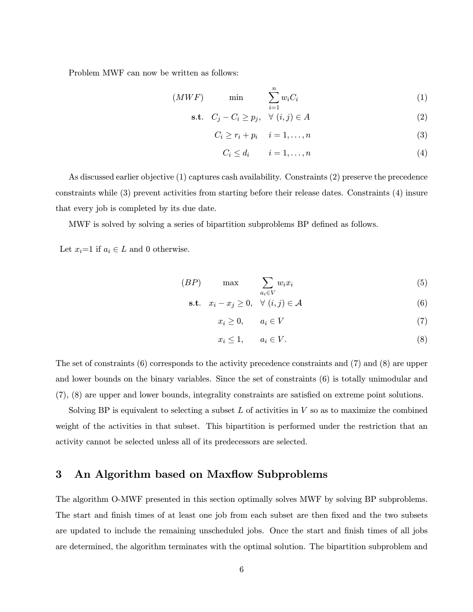Problem MWF can now be written as follows:

$$
(MWF) \qquad \min \qquad \sum_{i=1}^{n} w_i C_i \tag{1}
$$

$$
\textbf{s.t.} \quad C_j - C_i \ge p_j, \quad \forall \ (i, j) \in A \tag{2}
$$

$$
C_i \ge r_i + p_i \quad i = 1, \dots, n \tag{3}
$$

$$
C_i \le d_i \qquad i = 1, \dots, n \tag{4}
$$

As discussed earlier objective (1) captures cash availability. Constraints (2) preserve the precedence constraints while (3) prevent activities from starting before their release dates. Constraints (4) insure that every job is completed by its due date.

MWF is solved by solving a series of bipartition subproblems BP defined as follows.

Let  $x_i=1$  if  $a_i \in L$  and 0 otherwise.

$$
(BP) \qquad \max \qquad \sum_{a_i \in V} w_i x_i \tag{5}
$$

$$
\textbf{s.t.} \quad x_i - x_j \ge 0, \quad \forall \ (i, j) \in \mathcal{A} \tag{6}
$$

$$
x_i \geq 0, \qquad a_i \in V \tag{7}
$$

$$
x_i \le 1, \qquad a_i \in V. \tag{8}
$$

The set of constraints (6) corresponds to the activity precedence constraints and (7) and (8) are upper and lower bounds on the binary variables. Since the set of constraints (6) is totally unimodular and (7), (8) are upper and lower bounds, integrality constraints are satisfied on extreme point solutions.

Solving BP is equivalent to selecting a subset  $L$  of activities in  $V$  so as to maximize the combined weight of the activities in that subset. This bipartition is performed under the restriction that an activity cannot be selected unless all of its predecessors are selected.

### 3 An Algorithm based on Maxflow Subproblems

The algorithm O-MWF presented in this section optimally solves MWF by solving BP subproblems. The start and finish times of at least one job from each subset are then fixed and the two subsets are updated to include the remaining unscheduled jobs. Once the start and finish times of all jobs are determined, the algorithm terminates with the optimal solution. The bipartition subproblem and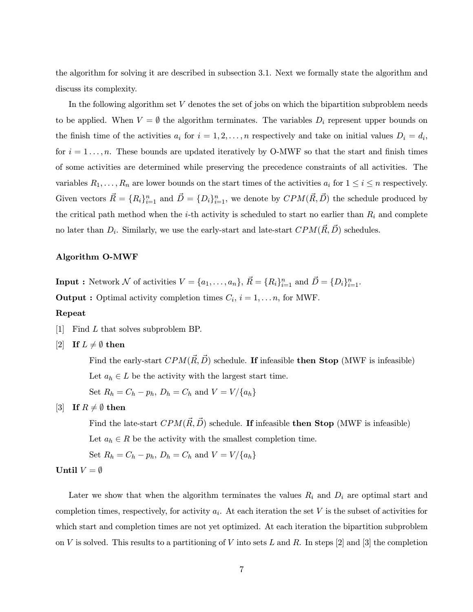the algorithm for solving it are described in subsection 3.1. Next we formally state the algorithm and discuss its complexity.

In the following algorithm set  $V$  denotes the set of jobs on which the bipartition subproblem needs to be applied. When  $V = \emptyset$  the algorithm terminates. The variables  $D_i$  represent upper bounds on the finish time of the activities  $a_i$  for  $i = 1, 2, ..., n$  respectively and take on initial values  $D_i = d_i$ , for  $i = 1 \ldots, n$ . These bounds are updated iteratively by O-MWF so that the start and finish times of some activities are determined while preserving the precedence constraints of all activities. The variables  $R_1,\ldots,R_n$  are lower bounds on the start times of the activities  $a_i$  for  $1 \leq i \leq n$  respectively. Given vectors  $\vec{R} = \{R_i\}_{i=1}^n$  and  $\vec{D} = \{D_i\}_{i=1}^n$ , we denote by  $CPM(\vec{R}, \vec{D})$  the schedule produced by the critical path method when the *i*-th activity is scheduled to start no earlier than  $R_i$  and complete no later than  $D_i$ . Similarly, we use the early-start and late-start  $CPM(\vec{R}, \vec{D})$  schedules.

#### Algorithm O-MWF

**Input :** Network N of activities  $V = \{a_1, \ldots, a_n\}$ ,  $\vec{R} = \{R_i\}_{i=1}^n$  and  $\vec{D} = \{D_i\}_{i=1}^n$ .

**Output :** Optimal activity completion times  $C_i$ ,  $i = 1, \ldots n$ , for MWF.

#### Repeat

- [1] Find L that solves subproblem BP.
- $[2]$  If  $L \neq \emptyset$  then

Find the early-start  $CPM(\vec{R}, \vec{D})$  schedule. If infeasible then Stop (MWF is infeasible) Let  $a_h \in L$  be the activity with the largest start time. Set  $R_h = C_h - p_h$ ,  $D_h = C_h$  and  $V = V / \{a_h\}$ 

[3] If  $R \neq \emptyset$  then

Find the late-start  $CPM(\vec{R}, \vec{D})$  schedule. If infeasible then Stop (MWF is infeasible) Let  $a_h \in R$  be the activity with the smallest completion time.

Set  $R_h = C_h - p_h$ ,  $D_h = C_h$  and  $V = V / \{a_h\}$ 

#### Until  $V = \emptyset$

Later we show that when the algorithm terminates the values  $R_i$  and  $D_i$  are optimal start and completion times, respectively, for activity  $a_i$ . At each iteration the set V is the subset of activities for which start and completion times are not yet optimized. At each iteration the bipartition subproblem on V is solved. This results to a partitioning of V into sets L and R. In steps [2] and [3] the completion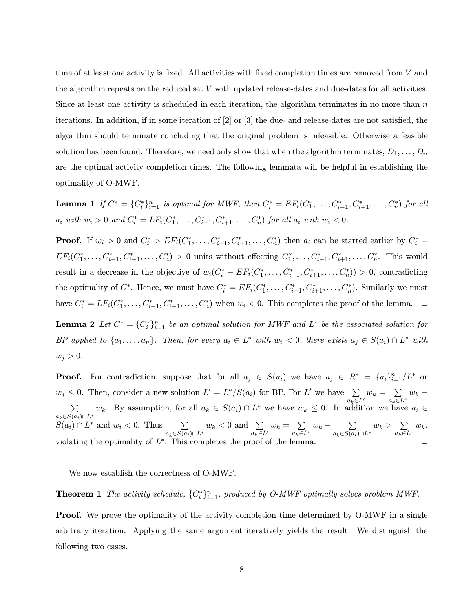time of at least one activity is fixed. All activities with fixed completion times are removed from  $V$  and the algorithm repeats on the reduced set V with updated release-dates and due-dates for all activities. Since at least one activity is scheduled in each iteration, the algorithm terminates in no more than  $n$ iterations. In addition, if in some iteration of [2] or [3] the due- and release-dates are not satisfied, the algorithm should terminate concluding that the original problem is infeasible. Otherwise a feasible solution has been found. Therefore, we need only show that when the algorithm terminates,  $D_1, \ldots, D_n$ are the optimal activity completion times. The following lemmata will be helpful in establishing the optimality of O-MWF.

Lemma 1 If  $C^* = \{C_i^*\}_{i=1}^n$  is optimal for MWF, then  $C_i^* = EF_i(C_1^*, \ldots, C_{i-1}^*, C_{i+1}^*, \ldots, C_n^*)$  for all  $a_i \text{ with } w_i > 0 \text{ and } C_i^* = LF_i(C_1^*, \ldots, C_{i-1}^*, C_{i+1}^*, \ldots, C_n^*) \text{ for all } a_i \text{ with } w_i < 0.$ 

**Proof.** If  $w_i > 0$  and  $C_i^* > EF_i(C_1^*, \ldots, C_{i-1}^*, C_{i+1}^*, \ldots, C_n^*)$  then  $a_i$  can be started earlier by  $C_i^*$  –  $EF_i(C_1^*, \ldots, C_{i-1}^*, C_{i+1}^*, \ldots, C_n^*) > 0$  units without effecting  $C_1^*, \ldots, C_{i-1}^*, C_{i+1}^*, \ldots, C_n^*$ . This would result in a decrease in the objective of  $w_i(C_i^* - EF_i(C_1^*, \ldots, C_{i-1}^*, C_{i+1}^*, \ldots, C_n^*)) > 0$ , contradicting the optimality of  $C^*$ . Hence, we must have  $C_i^* = EF_i(C_1^*, \ldots, C_{i-1}^*, C_{i+1}^*, \ldots, C_n^*)$ . Similarly we must have  $C_i^* = LF_i(C_1^*, \ldots, C_{i-1}^*, C_{i+1}^*, \ldots, C_n^*)$  when  $w_i < 0$ . This completes the proof of the lemma.  $\Box$ **Lemma 2** Let  $C^* = \{C_i^*\}_{i=1}^n$  be an optimal solution for MWF and  $L^*$  be the associated solution for BP applied to  $\{a_1,\ldots,a_n\}$ . Then, for every  $a_i \in L^*$  with  $w_i < 0$ , there exists  $a_j \in S(a_i) \cap L^*$  with  $w_j > 0$ .

**Proof.** For contradiction, suppose that for all  $a_j \in S(a_i)$  we have  $a_j \in R^* = \{a_i\}_{i=1}^n/L^*$  or  $w_j \leq 0$ . Then, consider a new solution  $L' = L^*/S(a_i)$  for BP. For L' we have  $\sum_{i \in I} w_k = \sum_{i \in I^*} w_k \sum_{a_k \in L'} w_k$ . By assumption, for all  $a_k \in S(a_i) \cap L^*$  we have  $w_k \leq 0$ . In addition we have  $a_k \in S(a_i) \cap L^*$  $w_k$ . By assumption, for all  $a_k \in S(a_i) \cap L^*$  we have  $w_k \leq 0$ . In addition we have  $a_i \in$  $S(a_i) \cap L^*$  and  $w_i < 0$ . Thus  $a_k \in S(a_i) \cap L^*$  $w_k < 0$  and  $\sum$  $a_k \in L'$  $w_k = \sum$  $\sum_{a_k \in L^*} w_k - \sum_{a_k \in S(a_i)}$  $a_k \in S(a_i) \cap L^*$  $w_k$  >  $\sum$  $a_k \in L^*$  $w_k$ , violating the optimality of  $L^*$ . This completes the proof of the lemma.

We now establish the correctness of O-MWF.

**Theorem 1** The activity schedule,  $\{C_i^*\}_{i=1}^n$ , produced by O-MWF optimally solves problem MWF.

**Proof.** We prove the optimality of the activity completion time determined by O-MWF in a single arbitrary iteration. Applying the same argument iteratively yields the result. We distinguish the following two cases.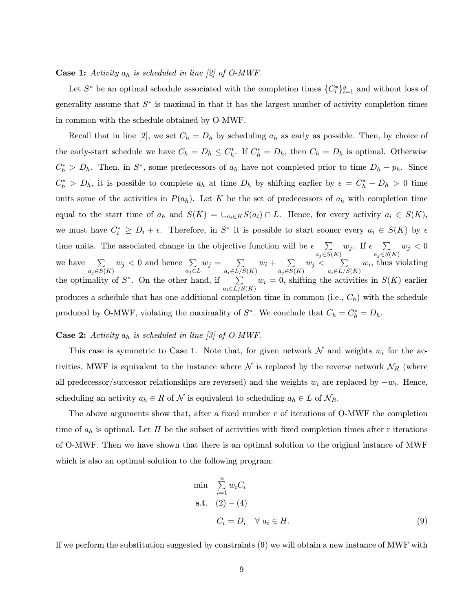#### **Case 1:** Activity  $a_h$  is scheduled in line [2] of O-MWF.

Let  $S^*$  be an optimal schedule associated with the completion times  $\{C_i^*\}_{i=1}^n$  and without loss of generality assume that  $S^*$  is maximal in that it has the largest number of activity completion times in common with the schedule obtained by O-MWF.

Recall that in line [2], we set  $C_h = D_h$  by scheduling  $a_h$  as early as possible. Then, by choice of the early-start schedule we have  $C_h = D_h \leq C_h^*$ . If  $C_h^* = D_h$ , then  $C_h = D_h$  is optimal. Otherwise  $C_h^* > D_h$ . Then, in  $S^*$ , some predecessors of  $a_h$  have not completed prior to time  $D_h - p_h$ . Since  $C_h^* > D_h$ , it is possible to complete  $a_h$  at time  $D_h$  by shifting earlier by  $\epsilon = C_h^* - D_h > 0$  time units some of the activities in  $P(a_h)$ . Let K be the set of predecessors of  $a_h$  with completion time equal to the start time of  $a_h$  and  $S(K) = \bigcup_{a_i \in K} S(a_i) \cap L$ . Hence, for every activity  $a_i \in S(K)$ , we must have  $C_i^* \geq D_i + \epsilon$ . Therefore, in  $S^*$  it is possible to start sooner every  $a_i \in S(K)$  by  $\epsilon$ time units. The associated change in the objective function will be  $\epsilon$   $\sum$  $a_j \in S(K)$  $w_j$ . If  $\epsilon$   $\sum$  $a_j{\in}S(K)$  $w_j < 0$ we have  $\Sigma$  $a_j \in S(K)$  $w_j < 0$  and hence  $\sum$  $a_j \in L$  $w_j = \sum$  $a_i \in L/S(K)$  $w_i + \sum$  $a_j \in S(K)$  $w_j < \quad \sum$  $a_i \in L/S(K)$  $w_i$ , thus violating the optimality of  $S^*$ . On the other hand, if  $\sum$  $a_i \in L/S(K)$  $w_i = 0$ , shifting the activities in  $S(K)$  earlier produces a schedule that has one additional completion time in common (i.e.,  $C_h$ ) with the schedule produced by O-MWF, violating the maximality of  $S^*$ . We conclude that  $C_h = C_h^* = D_h$ .

#### **Case 2:** Activity  $a_h$  is scheduled in line [3] of O-MWF.

This case is symmetric to Case 1. Note that, for given network  $\mathcal N$  and weights  $w_i$  for the activities, MWF is equivalent to the instance where  $\mathcal N$  is replaced by the reverse network  $\mathcal N_R$  (where all predecessor/successor relationships are reversed) and the weights  $w_i$  are replaced by  $-w_i$ . Hence, scheduling an activity  $a_h \in R$  of  $\mathcal N$  is equivalent to scheduling  $a_h \in L$  of  $\mathcal N_R$ .

The above arguments show that, after a fixed number r of iterations of O-MWF the completion time of  $a_h$  is optimal. Let H be the subset of activities with fixed completion times after r iterations of O-MWF. Then we have shown that there is an optimal solution to the original instance of MWF which is also an optimal solution to the following program:

$$
\min \sum_{i=1}^{n} w_i C_i
$$
\n
$$
\text{s.t.} \quad (2) - (4)
$$
\n
$$
C_i = D_i \quad \forall \ a_i \in H. \tag{9}
$$

If we perform the substitution suggested by constraints (9) we will obtain a new instance of MWF with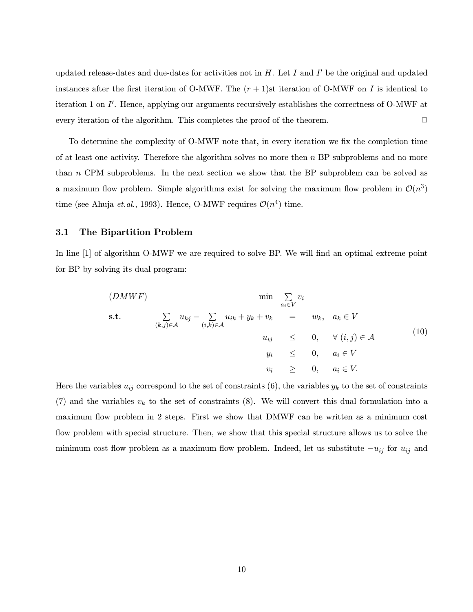updated release-dates and due-dates for activities not in  $H$ . Let  $I$  and  $I'$  be the original and updated instances after the first iteration of O-MWF. The  $(r + 1)$ st iteration of O-MWF on I is identical to iteration 1 on  $I'$ . Hence, applying our arguments recursively establishes the correctness of O-MWF at every iteration of the algorithm. This completes the proof of the theorem.  $\Box$ 

To determine the complexity of O-MWF note that, in every iteration we fix the completion time of at least one activity. Therefore the algorithm solves no more then  $n$  BP subproblems and no more than n CPM subproblems. In the next section we show that the BP subproblem can be solved as a maximum flow problem. Simple algorithms exist for solving the maximum flow problem in  $\mathcal{O}(n^3)$ time (see Ahuja *et.al.*, 1993). Hence, O-MWF requires  $\mathcal{O}(n^4)$  time.

#### 3.1 The Bipartition Problem

In line [1] of algorithm O-MWF we are required to solve BP. We will find an optimal extreme point for BP by solving its dual program:

$$
(DMWF)
$$
\n
$$
\min \sum_{a_i \in V} v_i
$$
\n
$$
\sum_{(k,j) \in \mathcal{A}} u_{kj} - \sum_{(i,k) \in \mathcal{A}} u_{ik} + y_k + v_k = w_k, \quad a_k \in V
$$
\n
$$
u_{ij} \leq 0, \quad \forall (i,j) \in \mathcal{A}
$$
\n
$$
y_i \leq 0, \quad a_i \in V
$$
\n
$$
v_i \geq 0, \quad a_i \in V.
$$
\n
$$
(10)
$$

Here the variables  $u_{ij}$  correspond to the set of constraints (6), the variables  $y_k$  to the set of constraints (7) and the variables  $v_k$  to the set of constraints (8). We will convert this dual formulation into a maximum flow problem in 2 steps. First we show that DMWF can be written as a minimum cost flow problem with special structure. Then, we show that this special structure allows us to solve the minimum cost flow problem as a maximum flow problem. Indeed, let us substitute  $-u_{ij}$  for  $u_{ij}$  and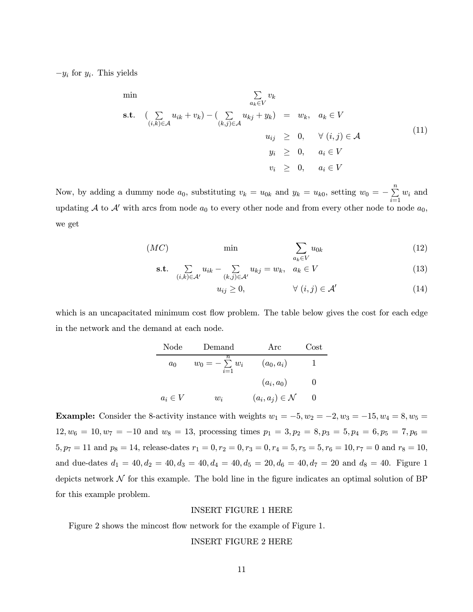$-y_i$  for  $y_i$ . This yields

$$
\min \sum_{a_k \in V} v_k
$$
\n
$$
\text{s.t.} \quad \left( \sum_{(i,k)\in\mathcal{A}} u_{ik} + v_k \right) - \left( \sum_{(k,j)\in\mathcal{A}} u_{kj} + y_k \right) = w_k, \quad a_k \in V
$$
\n
$$
u_{ij} \geq 0, \quad \forall (i,j)\in\mathcal{A}
$$
\n
$$
y_i \geq 0, \quad a_i \in V
$$
\n
$$
v_i \geq 0, \quad a_i \in V
$$
\n
$$
(11)
$$

Now, by adding a dummy node  $a_0$ , substituting  $v_k = u_{0k}$  and  $y_k = u_{k0}$ , setting  $w_0 = -\sum_{i=1}^n w_i$  and updating A to A' with arcs from node  $a_0$  to every other node and from every other node to node  $a_0$ , we get

$$
(MC) \qquad \min \qquad \qquad \sum_{a_k \in V} u_{0k} \tag{12}
$$

$$
\text{s.t.} \quad \sum_{(i,k)\in\mathcal{A}'} u_{ik} - \sum_{(k,j)\in\mathcal{A}'} u_{kj} = w_k, \quad a_k \in V \tag{13}
$$

$$
u_{ij} \ge 0, \qquad \forall (i,j) \in \mathcal{A}' \tag{14}
$$

which is an uncapacitated minimum cost flow problem. The table below gives the cost for each edge in the network and the demand at each node.

Node Demand Arc Cost  
\n
$$
a_0
$$
  $w_0 = -\sum_{i=1}^n w_i$   $(a_0, a_i)$  1  
\n $(a_i, a_0)$  0  
\n $a_i \in V$   $w_i$   $(a_i, a_j) \in \mathcal{N}$  0

Example: Consider the 8-activity instance with weights  $w_1 = -5, w_2 = -2, w_3 = -15, w_4 = 8, w_5 = 15$  $12, w_6 = 10, w_7 = -10$  and  $w_8 = 13$ , processing times  $p_1 = 3, p_2 = 8, p_3 = 5, p_4 = 6, p_5 = 7, p_6 = 10$  $5, p_7 = 11$  and  $p_8 = 14$ , release-dates  $r_1 = 0, r_2 = 0, r_3 = 0, r_4 = 5, r_5 = 5, r_6 = 10, r_7 = 0$  and  $r_8 = 10$ , and due-dates  $d_1 = 40, d_2 = 40, d_3 = 40, d_4 = 40, d_5 = 20, d_6 = 40, d_7 = 20$  and  $d_8 = 40$ . Figure 1 depicts network  $\mathcal N$  for this example. The bold line in the figure indicates an optimal solution of BP for this example problem.

#### INSERT FIGURE 1 HERE

Figure 2 shows the mincost flow network for the example of Figure 1.

#### INSERT FIGURE 2 HERE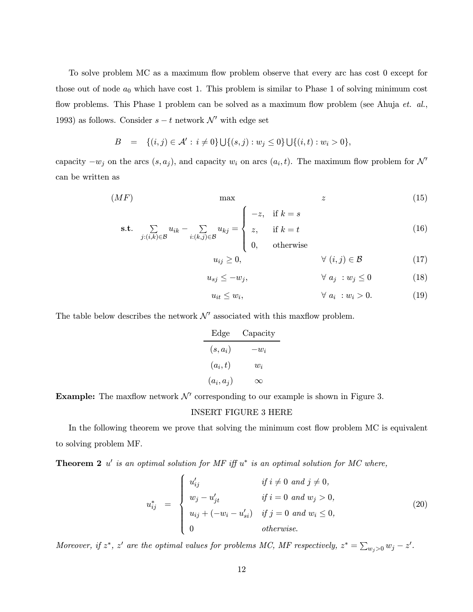To solve problem MC as a maximum flow problem observe that every arc has cost 0 except for those out of node  $a_0$  which have cost 1. This problem is similar to Phase 1 of solving minimum cost flow problems. This Phase 1 problem can be solved as a maximum flow problem (see Ahuja et. al., 1993) as follows. Consider  $s - t$  network  $\mathcal{N}'$  with edge set

$$
B = \{(i, j) \in \mathcal{A}' : i \neq 0\} \cup \{(s, j) : w_j \leq 0\} \cup \{(i, t) : w_i > 0\},\
$$

capacity  $-w_i$  on the arcs  $(s, a_i)$ , and capacity  $w_i$  on arcs  $(a_i, t)$ . The maximum flow problem for N' can be written as

$$
(MF) \t\t \max \t\t \t\t z \t\t (15)
$$

$$
\text{s.t.} \quad \sum_{j:(i,k)\in\mathcal{B}} u_{ik} - \sum_{i:(k,j)\in\mathcal{B}} u_{kj} = \begin{cases} -z, & \text{if } k=s\\ z, & \text{if } k=t\\ 0, & \text{otherwise} \end{cases} \tag{16}
$$

$$
u_{ij} \ge 0, \qquad \forall (i,j) \in \mathcal{B} \tag{17}
$$

$$
u_{sj} \le -w_j, \qquad \qquad \forall \ a_j \; : w_j \le 0 \tag{18}
$$

$$
u_{it} \le w_i, \qquad \forall a_i : w_i > 0. \tag{19}
$$

The table below describes the network  $\mathcal{N}'$  associated with this maxflow problem.

Edge Capacity  $(s, a_i)$   $-w_i$  $(a_i, t)$   $w_i$  $(a_i, a_j) \qquad \infty$ 

Example: The maxflow network  $\mathcal{N}'$  corresponding to our example is shown in Figure 3.

#### INSERT FIGURE 3 HERE

In the following theorem we prove that solving the minimum cost flow problem MC is equivalent to solving problem MF.

**Theorem 2** u' is an optimal solution for MF iff  $u^*$  is an optimal solution for MC where,

$$
u_{ij}^* = \begin{cases} u'_{ij} & \text{if } i \neq 0 \text{ and } j \neq 0, \\ w_j - u'_{jt} & \text{if } i = 0 \text{ and } w_j > 0, \\ u_{ij} + (-w_i - u'_{si}) & \text{if } j = 0 \text{ and } w_i \leq 0, \\ 0 & \text{otherwise.} \end{cases}
$$
(20)

Moreover, if  $z^*$ ,  $z'$  are the optimal values for problems MC, MF respectively,  $z^* = \sum_{w_j>0} w_j - z'$ .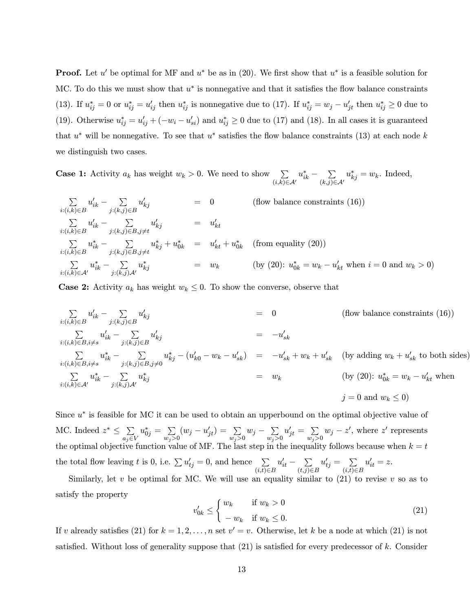**Proof.** Let u' be optimal for MF and  $u^*$  be as in (20). We first show that  $u^*$  is a feasible solution for MC. To do this we must show that  $u^*$  is nonnegative and that it satisfies the flow balance constraints (13). If  $u_{ij}^* = 0$  or  $u_{ij}^* = u_{ij}'$  then  $u_{ij}^*$  is nonnegative due to (17). If  $u_{ij}^* = w_j - u_{ji}'$  then  $u_{ij}^* \ge 0$  due to (19). Otherwise  $u_{ij}^* = u_{ij}' + (-w_i - u_{si}')$  and  $u_{ij}^* \ge 0$  due to (17) and (18). In all cases it is guaranteed that  $u^*$  will be nonnegative. To see that  $u^*$  satisfies the flow balance constraints (13) at each node k we distinguish two cases.

**Case 1:** Activity  $a_k$  has weight  $w_k > 0$ . We need to show  $\sum$  $(i,k){\in}\mathcal{A}'$  $u_{ik}^* - \sum_{i,j}$  $(k,j)$ ∈ $A'$  $u_{kj}^* = w_k$ . Indeed,

$$
\sum_{i:(i,k)\in B} u'_{ik} - \sum_{j:(k,j)\in B} u'_{kj} = 0 \qquad \text{(flow balance constraints (16))}
$$
\n
$$
\sum_{i:(i,k)\in B} u'_{ik} - \sum_{j:(k,j)\in B, j\neq t} u'_{kj} = u'_{kt}
$$
\n
$$
\sum_{i:(i,k)\in B} u_{ik}^* - \sum_{j:(k,j)\in B, j\neq t} u_{kj}^* + u_{0k}^* = u'_{kt} + u_{0k}^* \qquad \text{(from equality (20))}
$$
\n
$$
\sum_{i:(i,k)\in A'} u_{ik}^* - \sum_{j:(k,j)A'} u_{kj}^* = w_k \qquad \text{(by (20): } u_{0k}^* = w_k - u'_{kt} \text{ when } i = 0 \text{ and } w_k > 0)
$$

**Case 2:** Activity  $a_k$  has weight  $w_k \leq 0$ . To show the converse, observe that

$$
\sum_{i:(i,k)\in B} u'_{ik} - \sum_{j:(k,j)\in B} u'_{kj} = 0 \qquad \text{(flow balance constraints (16))}
$$
\n
$$
\sum_{i:(i,k)\in B, i\neq s} u'_{ik} - \sum_{j:(k,j)\in B} u'_{kj} = -u'_{sk}
$$
\n
$$
\sum_{i:(i,k)\in B, i\neq s} u_{ik}^* - \sum_{j:(k,j)\in B, j\neq 0} u_{kj}^* - (u'_{k0} - w_k - u'_{sk}) = -u'_{sk} + w_k + u'_{sk} \qquad \text{(by adding } w_k + u'_{sk} \text{ to both sides)}
$$
\n
$$
\sum_{i:(i,k)\in \mathcal{A}'} u_{ik}^* - \sum_{j:(k,j)\mathcal{A}'} u_{kj}^* = w_k \qquad \text{(by (20): } u_{0k}^* = w_k - u'_{kt} \text{ when}
$$
\n
$$
j = 0 \text{ and } w_k \le 0
$$

Since  $u^*$  is feasible for MC it can be used to obtain an upperbound on the optimal objective value of MC. Indeed  $z^* \leq \sum_{a_j \in V}$  $u_{0j}^* = \sum_{w_j > 0} (w_j - u'_{jt}) = \sum_{w_j > 0} w_j - \sum_{w_j > 0}$  $u'_{jt} = \sum_{w_j > 0} w_j - z'$ , where  $z'$  represents the optimal objective function value of MF. The last step in the inequality follows because when  $k = t$ the total flow leaving t is 0, i.e.  $\sum u_{ij} = 0$ , and hence  $\sum$  $(i,t)∈B$  $u'_{it} - \sum_{(t, i) \in \mathbb{Z}}$  $(t,j)∈B$  $u'_{tj} = \sum_{i=1}^{n}$  $(i,t)∈B$  $u'_{it} = z.$ 

Similarly, let  $v$  be optimal for MC. We will use an equality similar to  $(21)$  to revise  $v$  so as to satisfy the property

$$
v'_{0k} \le \begin{cases} w_k & \text{if } w_k > 0 \\ -w_k & \text{if } w_k \le 0. \end{cases} \tag{21}
$$

If v already satisfies (21) for  $k = 1, 2, ..., n$  set  $v' = v$ . Otherwise, let k be a node at which (21) is not satisfied. Without loss of generality suppose that  $(21)$  is satisfied for every predecessor of k. Consider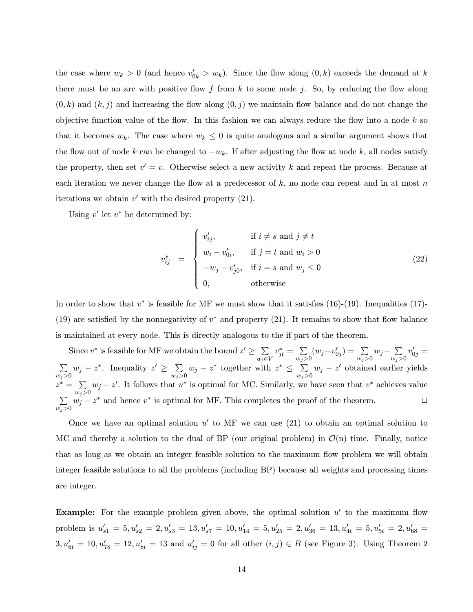the case where  $w_k > 0$  (and hence  $v'_{0k} > w_k$ ). Since the flow along  $(0, k)$  exceeds the demand at k there must be an arc with positive flow  $f$  from  $k$  to some node  $j$ . So, by reducing the flow along  $(0, k)$  and  $(k, j)$  and increasing the flow along  $(0, j)$  we maintain flow balance and do not change the objective function value of the flow. In this fashion we can always reduce the flow into a node  $k$  so that it becomes  $w_k$ . The case where  $w_k \leq 0$  is quite analogous and a similar argument shows that the flow out of node k can be changed to  $-w_k$ . If after adjusting the flow at node k, all nodes satisfy the property, then set  $v' = v$ . Otherwise select a new activity k and repeat the process. Because at each iteration we never change the flow at a predecessor of  $k$ , no node can repeat and in at most n iterations we obtain  $v'$  with the desired property (21).

Using  $v'$  let  $v^*$  be determined by:

$$
v_{ij}^* = \begin{cases} v'_{ij}, & \text{if } i \neq s \text{ and } j \neq t \\ w_i - v'_{0i}, & \text{if } j = t \text{ and } w_i > 0 \\ -w_j - v'_{j0}, & \text{if } i = s \text{ and } w_j \leq 0 \\ 0, & \text{otherwise} \end{cases}
$$
(22)

In order to show that  $v^*$  is feasible for MF we must show that it satisfies (16)-(19). Inequalities (17)-(19) are satisfied by the nonnegativity of  $v^*$  and property (21). It remains to show that flow balance is maintained at every node. This is directly analogous to the if part of the theorem.

Since  $v^*$  is feasible for MF we obtain the bound  $z' \geq \sum_{a_j \in V}$  $v_{jt}^* = \sum_{w_j > 0} (w_j - v'_{0j}) = \sum_{w_j > 0} w_j - \sum_{w_j > 0}$  $v_{0j}' =$  $\sum$  $\sum_{w_j>0} w_j - z^*$ . Inequality  $z' \ge \sum_{w_j>0} w_j - z^*$  together with  $z^* \le \sum_{w_j>0} w_j - z'$  obtained earlier yields  $z^* = \sum$  $\sum_{w_j>0} w_j - z'$ . It follows that  $u^*$  is optimal for MC. Similarly, we have seen that  $v^*$  achieves value  $\sum$  $\sum_{w_j>0} w_j - z^*$  and hence  $v^*$  is optimal for MF. This completes the proof of the theorem.

Once we have an optimal solution  $u'$  to MF we can use (21) to obtain an optimal solution to MC and thereby a solution to the dual of BP (our original problem) in  $\mathcal{O}(n)$  time. Finally, notice that as long as we obtain an integer feasible solution to the maximum flow problem we will obtain integer feasible solutions to all the problems (including BP) because all weights and processing times are integer.

**Example:** For the example problem given above, the optimal solution  $u'$  to the maximum flow problem is  $u'_{s1} = 5, u'_{s2} = 2, u'_{s3} = 13, u'_{s7} = 10, u'_{14} = 5, u'_{25} = 2, u'_{36} = 13, u'_{4t} = 5, u'_{5t} = 2, u'_{68} = 13$  $3, u'_{6t} = 10, u'_{78} = 12, u'_{8t} = 13$  and  $u'_{ij} = 0$  for all other  $(i, j) \in B$  (see Figure 3). Using Theorem 2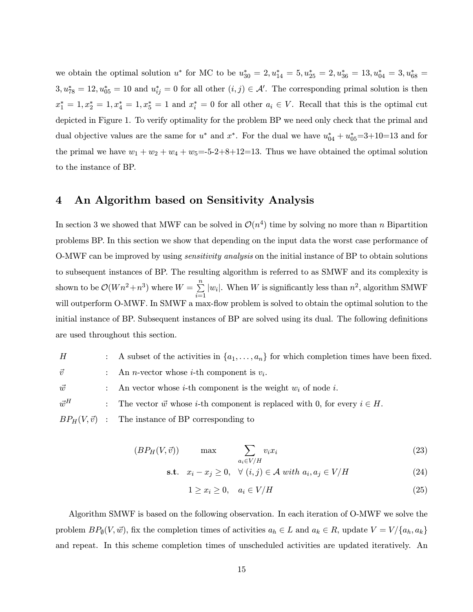we obtain the optimal solution  $u^*$  for MC to be  $u_{30}^* = 2, u_{14}^* = 5, u_{25}^* = 2, u_{36}^* = 13, u_{04}^* = 3, u_{68}^* =$  $3, u_{78}^* = 12, u_{05}^* = 10$  and  $u_{ij}^* = 0$  for all other  $(i, j) \in \mathcal{A}'$ . The corresponding primal solution is then  $x_1^* = 1, x_2^* = 1, x_4^* = 1, x_5^* = 1$  and  $x_i^* = 0$  for all other  $a_i \in V$ . Recall that this is the optimal cut depicted in Figure 1. To verify optimality for the problem BP we need only check that the primal and dual objective values are the same for  $u^*$  and  $x^*$ . For the dual we have  $u_{04}^* + u_{05}^* = 3 + 10 = 13$  and for the primal we have  $w_1 + w_2 + w_4 + w_5 = -5-2+8+12=13$ . Thus we have obtained the optimal solution to the instance of BP.

## 4 An Algorithm based on Sensitivity Analysis

In section 3 we showed that MWF can be solved in  $\mathcal{O}(n^4)$  time by solving no more than n Bipartition problems BP. In this section we show that depending on the input data the worst case performance of O-MWF can be improved by using sensitivity analysis on the initial instance of BP to obtain solutions to subsequent instances of BP. The resulting algorithm is referred to as SMWF and its complexity is shown to be  $\mathcal{O}(Wn^2 + n^3)$  where  $W = \sum_{i=1}^{n} |w_i|$ . When W is significantly less than  $n^2$ , algorithm SMWF will outperform O-MWF. In SMWF a max-flow problem is solved to obtain the optimal solution to the initial instance of BP. Subsequent instances of BP are solved using its dual. The following definitions are used throughout this section.

H : A subset of the activities in  $\{a_1,\ldots,a_n\}$  for which completion times have been fixed.  $\vec{v}$  : An *n*-vector whose *i*-th component is  $v_i$ .  $\vec{w}$  : An vector whose *i*-th component is the weight  $w_i$  of node *i*.  $\vec{w}^H$  : The vector  $\vec{w}$  whose *i*-th component is replaced with 0, for every  $i \in H$ .  $BP_H(V, \vec{v})$  : The instance of BP corresponding to

$$
(BP_H(V, \vec{v})) \qquad \max \qquad \sum_{a_i \in V/H} v_i x_i \tag{23}
$$

$$
\text{s.t.} \quad x_i - x_j \ge 0, \quad \forall \ (i, j) \in \mathcal{A} \ with \ a_i, a_j \in V/H \tag{24}
$$

$$
1 \ge x_i \ge 0, \quad a_i \in V/H \tag{25}
$$

Algorithm SMWF is based on the following observation. In each iteration of O-MWF we solve the problem  $BP_{\emptyset}(V, \vec{w})$ , fix the completion times of activities  $a_h \in L$  and  $a_k \in R$ , update  $V = V / \{a_h, a_k\}$ and repeat. In this scheme completion times of unscheduled activities are updated iteratively. An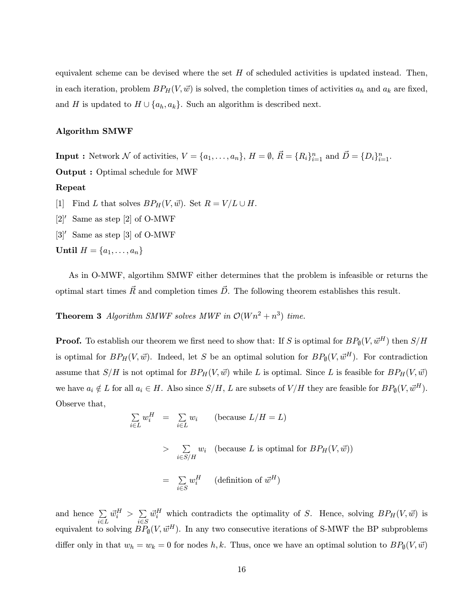equivalent scheme can be devised where the set  $H$  of scheduled activities is updated instead. Then, in each iteration, problem  $BP_H(V, \vec{w})$  is solved, the completion times of activities  $a_h$  and  $a_k$  are fixed, and H is updated to  $H \cup \{a_h, a_k\}$ . Such an algorithm is described next.

#### Algorithm SMWF

**Input :** Network N of activities,  $V = \{a_1, \ldots, a_n\}$ ,  $H = \emptyset$ ,  $\vec{R} = \{R_i\}_{i=1}^n$  and  $\vec{D} = \{D_i\}_{i=1}^n$ . Output : Optimal schedule for MWF Repeat [1] Find L that solves  $BP_H(V, \vec{w})$ . Set  $R = V/L \cup H$ .  $[2]'$  Same as step  $[2]$  of O-MWF  $[3]'$  Same as step  $[3]$  of O-MWF Until  $H = \{a_1, \ldots, a_n\}$ 

As in O-MWF, algortihm SMWF either determines that the problem is infeasible or returns the optimal start times  $\vec{R}$  and completion times  $\vec{D}$ . The following theorem establishes this result.

**Theorem 3** Algorithm SMWF solves MWF in  $\mathcal{O}(Wn^2 + n^3)$  time.

**Proof.** To establish our theorem we first need to show that: If S is optimal for  $BP_{\emptyset}(V, \vec{w}^H)$  then  $S/H$ is optimal for  $BP_H(V, \vec{w})$ . Indeed, let S be an optimal solution for  $BP_{\emptyset}(V, \vec{w}^H)$ . For contradiction assume that  $S/H$  is not optimal for  $BP_H(V, \vec{w})$  while L is optimal. Since L is feasible for  $BP_H(V, \vec{w})$ we have  $a_i \notin L$  for all  $a_i \in H$ . Also since  $S/H$ , L are subsets of  $V/H$  they are feasible for  $BP_{\emptyset}(V, \vec{w}^H)$ . Observe that,

$$
\sum_{i \in L} w_i^H = \sum_{i \in L} w_i \qquad \text{(because } L/H = L\text{)}
$$
\n
$$
> \sum_{i \in S/H} w_i \quad \text{(because } L \text{ is optimal for } BP_H(V, \vec{w}))
$$
\n
$$
= \sum_{i \in S} w_i^H \quad \text{(definition of } \vec{w}^H\text{)}
$$

and hence  $\Sigma$ i∈L  $\vec{w}_i^H > \sum_i$ i∈S  $\vec{w}_i^H$  which contradicts the optimality of S. Hence, solving  $BP_H(V, \vec{w})$  is equivalent to solving  $\widetilde{BP}_{\emptyset}(V, \vec{w}^H)$ . In any two consecutive iterations of S-MWF the BP subproblems differ only in that  $w_h = w_k = 0$  for nodes h, k. Thus, once we have an optimal solution to  $BP_{\emptyset}(V, \vec{w})$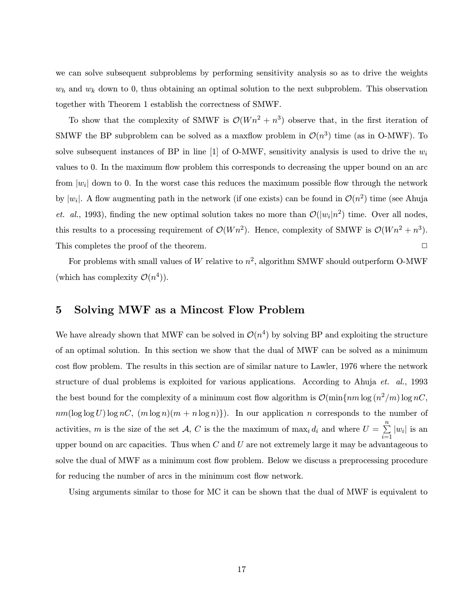we can solve subsequent subproblems by performing sensitivity analysis so as to drive the weights  $w<sub>h</sub>$  and  $w<sub>k</sub>$  down to 0, thus obtaining an optimal solution to the next subproblem. This observation together with Theorem 1 establish the correctness of SMWF.

To show that the complexity of SMWF is  $\mathcal{O}(W n^2 + n^3)$  observe that, in the first iteration of SMWF the BP subproblem can be solved as a maxflow problem in  $\mathcal{O}(n^3)$  time (as in O-MWF). To solve subsequent instances of BP in line [1] of O-MWF, sensitivity analysis is used to drive the  $w_i$ values to 0. In the maximum flow problem this corresponds to decreasing the upper bound on an arc from  $|w_i|$  down to 0. In the worst case this reduces the maximum possible flow through the network by  $|w_i|$ . A flow augmenting path in the network (if one exists) can be found in  $\mathcal{O}(n^2)$  time (see Ahuja et. al., 1993), finding the new optimal solution takes no more than  $\mathcal{O}(|w_i|n^2)$  time. Over all nodes, this results to a processing requirement of  $\mathcal{O}(W n^2)$ . Hence, complexity of SMWF is  $\mathcal{O}(W n^2 + n^3)$ . This completes the proof of the theorem.  $\Box$ 

For problems with small values of W relative to  $n^2$ , algorithm SMWF should outperform O-MWF (which has complexity  $\mathcal{O}(n^4)$ ).

## 5 Solving MWF as a Mincost Flow Problem

We have already shown that MWF can be solved in  $\mathcal{O}(n^4)$  by solving BP and exploiting the structure of an optimal solution. In this section we show that the dual of MWF can be solved as a minimum cost flow problem. The results in this section are of similar nature to Lawler, 1976 where the network structure of dual problems is exploited for various applications. According to Ahuja et. al., 1993 the best bound for the complexity of a minimum cost flow algorithm is  $\mathcal{O}(\min\{nm \log(n^2/m) \log nC\})$  $nm(\log \log U) \log nC$ ,  $(m \log n)(m + n \log n)$ . In our application n corresponds to the number of activities, m is the size of the set A, C is the the maximum of  $\max_i d_i$  and where  $U = \sum_{i=1}^n |w_i|$  is an upper bound on arc capacities. Thus when  $C$  and  $U$  are not extremely large it may be advantageous to solve the dual of MWF as a minimum cost flow problem. Below we discuss a preprocessing procedure for reducing the number of arcs in the minimum cost flow network.

Using arguments similar to those for MC it can be shown that the dual of MWF is equivalent to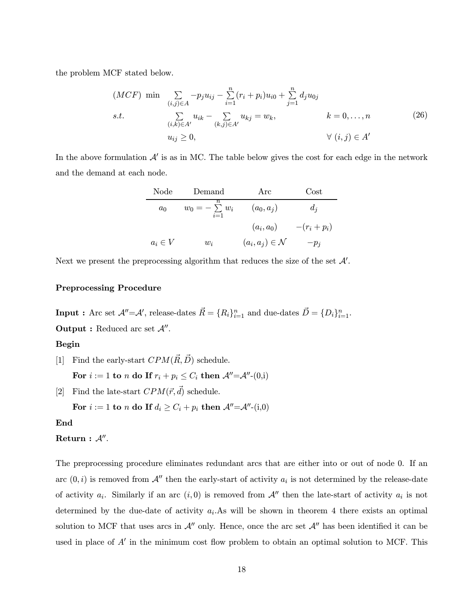the problem MCF stated below.

$$
(MCF) \min \sum_{(i,j)\in A} -p_j u_{ij} - \sum_{i=1}^n (r_i + p_i) u_{i0} + \sum_{j=1}^n d_j u_{0j}
$$
  
s.t. 
$$
\sum_{(i,k)\in A'} u_{ik} - \sum_{(k,j)\in A'} u_{kj} = w_k, \qquad k = 0,...,n
$$
  

$$
u_{ij} \ge 0, \qquad \forall (i,j) \in A'
$$
 (26)

In the above formulation  $\mathcal{A}'$  is as in MC. The table below gives the cost for each edge in the network and the demand at each node.

| Node        | Demand                                | Arc                          | $\rm Cost$   |
|-------------|---------------------------------------|------------------------------|--------------|
| $a_0$       | $\it n$<br>$w_0 = -\sum w_i$<br>$i=1$ | $(a_0,a_i)$                  | $d_i$        |
|             |                                       | $(a_i,a_0)$                  | $-(r_i+p_i)$ |
| $a_i \in V$ | $w_i$                                 | $(a_i, a_j) \in \mathcal{N}$ | $-p_i$       |

Next we present the preprocessing algorithm that reduces the size of the set  $\mathcal{A}'$ .

#### Preprocessing Procedure

**Input :** Arc set  $\mathcal{A}''=\mathcal{A}'$ , release-dates  $\vec{R} = \{R_i\}_{i=1}^n$  and due-dates  $\vec{D} = \{D_i\}_{i=1}^n$ .

**Output :** Reduced arc set  $\mathcal{A}^{\prime\prime}$ .

### Begin

[1] Find the early-start  $CPM(\vec{R}, \vec{D})$  schedule.

For  $i := 1$  to n do If  $r_i + p_i \leq C_i$  then  $\mathcal{A}'' = \mathcal{A}'' - (0, i)$ 

[2] Find the late-start  $CPM(\vec{r}, \vec{d})$  schedule.

For  $i := 1$  to n do If  $d_i \geq C_i + p_i$  then  $\mathcal{A}'' = \mathcal{A}'' - (i,0)$ 

End

Return :  $A''$ .

The preprocessing procedure eliminates redundant arcs that are either into or out of node 0. If an arc  $(0, i)$  is removed from  $\mathcal{A}''$  then the early-start of activity  $a_i$  is not determined by the release-date of activity  $a_i$ . Similarly if an arc  $(i, 0)$  is removed from  $A''$  then the late-start of activity  $a_i$  is not determined by the due-date of activity  $a_i$ . As will be shown in theorem 4 there exists an optimal solution to MCF that uses arcs in  $\mathcal{A}''$  only. Hence, once the arc set  $\mathcal{A}''$  has been identified it can be used in place of  $A'$  in the minimum cost flow problem to obtain an optimal solution to MCF. This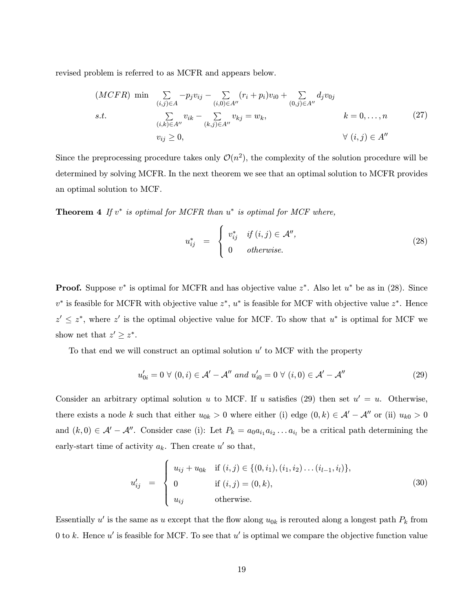revised problem is referred to as MCFR and appears below.

$$
(MCFR) \min \sum_{(i,j)\in A} -p_j v_{ij} - \sum_{(i,0)\in A''} (r_i + p_i)v_{i0} + \sum_{(0,j)\in A''} d_j v_{0j}
$$
  
s.t. 
$$
\sum_{(i,k)\in A''} v_{ik} - \sum_{(k,j)\in A''} v_{kj} = w_k, \qquad k = 0, ..., n \qquad (27)
$$
  

$$
v_{ij} \ge 0, \qquad \forall (i,j) \in A''
$$

Since the preprocessing procedure takes only  $\mathcal{O}(n^2)$ , the complexity of the solution procedure will be determined by solving MCFR. In the next theorem we see that an optimal solution to MCFR provides an optimal solution to MCF.

**Theorem 4** If  $v^*$  is optimal for MCFR than  $u^*$  is optimal for MCF where,

$$
u_{ij}^* = \begin{cases} v_{ij}^* & if (i,j) \in \mathcal{A}^{\prime\prime}, \\ 0 & otherwise. \end{cases}
$$
 (28)

**Proof.** Suppose  $v^*$  is optimal for MCFR and has objective value  $z^*$ . Also let  $u^*$  be as in (28). Since  $v^*$  is feasible for MCFR with objective value  $z^*$ ,  $u^*$  is feasible for MCF with objective value  $z^*$ . Hence  $z' \leq z^*$ , where z' is the optimal objective value for MCF. To show that  $u^*$  is optimal for MCF we show net that  $z' \geq z^*$ .

To that end we will construct an optimal solution  $u'$  to MCF with the property

$$
u'_{0i} = 0 \,\forall (0, i) \in \mathcal{A}' - \mathcal{A}'' \text{ and } u'_{i0} = 0 \,\forall (i, 0) \in \mathcal{A}' - \mathcal{A}''
$$
\n
$$
(29)
$$

Consider an arbitrary optimal solution u to MCF. If u satisfies (29) then set  $u' = u$ . Otherwise, there exists a node k such that either  $u_{0k} > 0$  where either (i) edge  $(0, k) \in \mathcal{A}' - \mathcal{A}''$  or (ii)  $u_{k0} > 0$ and  $(k, 0) \in \mathcal{A}' - \mathcal{A}''$ . Consider case (i): Let  $P_k = a_0 a_{i_1} a_{i_2} \ldots a_{i_l}$  be a critical path determining the early-start time of activity  $a_k$ . Then create u' so that,

$$
u'_{ij} = \begin{cases} u_{ij} + u_{0k} & \text{if } (i, j) \in \{ (0, i_1), (i_1, i_2), \dots (i_{l-1}, i_l) \}, \\ 0 & \text{if } (i, j) = (0, k), \\ u_{ij} & \text{otherwise.} \end{cases}
$$
(30)

Essentially u' is the same as u except that the flow along  $u_{0k}$  is rerouted along a longest path  $P_k$  from 0 to k. Hence  $u'$  is feasible for MCF. To see that  $u'$  is optimal we compare the objective function value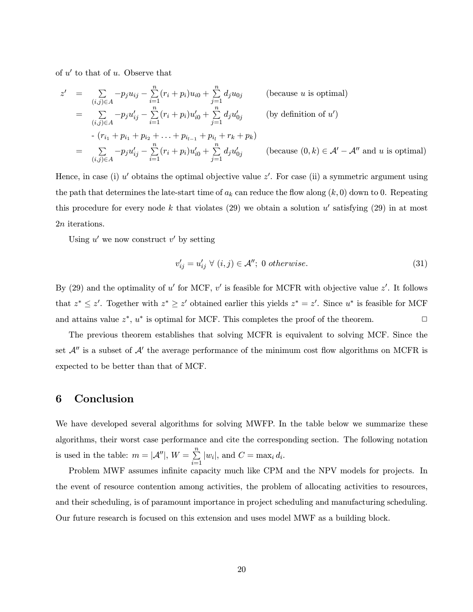of  $u'$  to that of u. Observe that

$$
z' = \sum_{(i,j)\in A} -p_j u_{ij} - \sum_{i=1}^n (r_i + p_i) u_{i0} + \sum_{j=1}^n d_j u_{0j}
$$
 (because *u* is optimal)  
\n
$$
= \sum_{(i,j)\in A} -p_j u'_{ij} - \sum_{i=1}^n (r_i + p_i) u'_{i0} + \sum_{j=1}^n d_j u'_{0j}
$$
 (by definition of *u'*)  
\n
$$
- (r_{i_1} + p_{i_1} + p_{i_2} + \dots + p_{i_{l-1}} + p_{i_l} + r_k + p_k)
$$
  
\n
$$
= \sum_{(i,j)\in A} -p_j u'_{ij} - \sum_{i=1}^n (r_i + p_i) u'_{i0} + \sum_{j=1}^n d_j u'_{0j}
$$
 (because  $(0, k) \in \mathcal{A}' - \mathcal{A}''$  and *u* is optimal)

Hence, in case (i)  $u'$  obtains the optimal objective value  $z'$ . For case (ii) a symmetric argument using the path that determines the late-start time of  $a_k$  can reduce the flow along  $(k, 0)$  down to 0. Repeating this procedure for every node k that violates (29) we obtain a solution  $u'$  satisfying (29) in at most 2n iterations.

Using  $u'$  we now construct  $v'$  by setting

$$
v'_{ij} = u'_{ij} \ \forall \ (i,j) \in \mathcal{A}''; \ 0 \ otherwise. \tag{31}
$$

By (29) and the optimality of u' for MCF, v' is feasible for MCFR with objective value  $z'$ . It follows that  $z^* \leq z'$ . Together with  $z^* \geq z'$  obtained earlier this yields  $z^* = z'$ . Since  $u^*$  is feasible for MCF and attains value  $z^*$ ,  $u^*$  is optimal for MCF. This completes the proof of the theorem.

The previous theorem establishes that solving MCFR is equivalent to solving MCF. Since the set  $\mathcal{A}''$  is a subset of  $\mathcal{A}'$  the average performance of the minimum cost flow algorithms on MCFR is expected to be better than that of MCF.

## 6 Conclusion

We have developed several algorithms for solving MWFP. In the table below we summarize these algorithms, their worst case performance and cite the corresponding section. The following notation is used in the table:  $m = |\mathcal{A}''|$ ,  $W = \sum_{i=1}^{n} |w_i|$ , and  $C = \max_i d_i$ .

Problem MWF assumes infinite capacity much like CPM and the NPV models for projects. In the event of resource contention among activities, the problem of allocating activities to resources, and their scheduling, is of paramount importance in project scheduling and manufacturing scheduling. Our future research is focused on this extension and uses model MWF as a building block.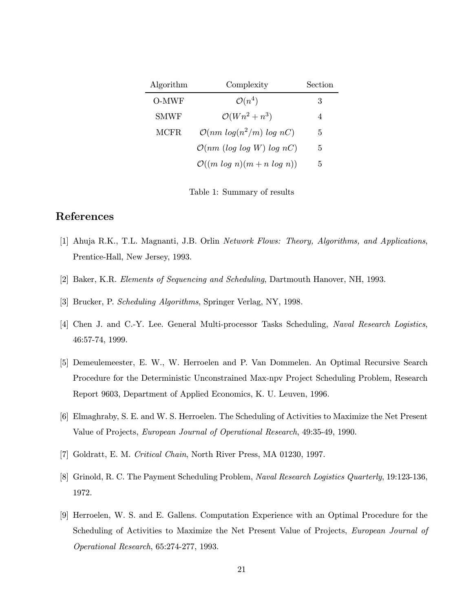| Algorithm   | Complexity                                     | Section |
|-------------|------------------------------------------------|---------|
| O-MWF       | $\mathcal{O}(n^4)$                             | З       |
| <b>SMWF</b> | $\mathcal{O}(Wn^2 + n^3)$                      | 4       |
| MCFR.       | $\mathcal{O}(nm \log(n^2/m) \log nC)$          | 5       |
|             | $\mathcal{O}(nm \ (log \ log \ W) \ log \ nC)$ | 5       |
|             | $\mathcal{O}((m \log n)(m+n \log n))$          | 5       |

Table 1: Summary of results

# References

- [1] Ahuja R.K., T.L. Magnanti, J.B. Orlin Network Flows: Theory, Algorithms, and Applications, Prentice-Hall, New Jersey, 1993.
- [2] Baker, K.R. Elements of Sequencing and Scheduling, Dartmouth Hanover, NH, 1993.
- [3] Brucker, P. Scheduling Algorithms, Springer Verlag, NY, 1998.
- [4] Chen J. and C.-Y. Lee. General Multi-processor Tasks Scheduling, Naval Research Logistics, 46:57-74, 1999.
- [5] Demeulemeester, E. W., W. Herroelen and P. Van Dommelen. An Optimal Recursive Search Procedure for the Deterministic Unconstrained Max-npv Project Scheduling Problem, Research Report 9603, Department of Applied Economics, K. U. Leuven, 1996.
- [6] Elmaghraby, S. E. and W. S. Herroelen. The Scheduling of Activities to Maximize the Net Present Value of Projects, European Journal of Operational Research, 49:35-49, 1990.
- [7] Goldratt, E. M. Critical Chain, North River Press, MA 01230, 1997.
- [8] Grinold, R. C. The Payment Scheduling Problem, Naval Research Logistics Quarterly, 19:123-136, 1972.
- [9] Herroelen, W. S. and E. Gallens. Computation Experience with an Optimal Procedure for the Scheduling of Activities to Maximize the Net Present Value of Projects, European Journal of Operational Research, 65:274-277, 1993.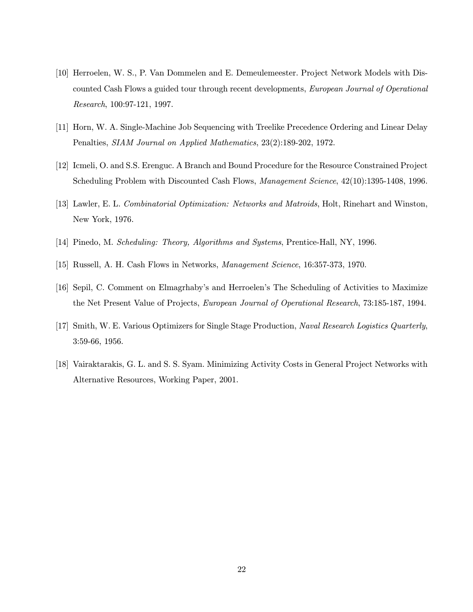- [10] Herroelen, W. S., P. Van Dommelen and E. Demeulemeester. Project Network Models with Discounted Cash Flows a guided tour through recent developments, European Journal of Operational Research, 100:97-121, 1997.
- [11] Horn, W. A. Single-Machine Job Sequencing with Treelike Precedence Ordering and Linear Delay Penalties, SIAM Journal on Applied Mathematics, 23(2):189-202, 1972.
- [12] Icmeli, O. and S.S. Erenguc. A Branch and Bound Procedure for the Resource Constrained Project Scheduling Problem with Discounted Cash Flows, Management Science, 42(10):1395-1408, 1996.
- [13] Lawler, E. L. Combinatorial Optimization: Networks and Matroids, Holt, Rinehart and Winston, New York, 1976.
- [14] Pinedo, M. Scheduling: Theory, Algorithms and Systems, Prentice-Hall, NY, 1996.
- [15] Russell, A. H. Cash Flows in Networks, Management Science, 16:357-373, 1970.
- [16] Sepil, C. Comment on Elmagrhaby's and Herroelen's The Scheduling of Activities to Maximize the Net Present Value of Projects, European Journal of Operational Research, 73:185-187, 1994.
- [17] Smith, W. E. Various Optimizers for Single Stage Production, Naval Research Logistics Quarterly, 3:59-66, 1956.
- [18] Vairaktarakis, G. L. and S. S. Syam. Minimizing Activity Costs in General Project Networks with Alternative Resources, Working Paper, 2001.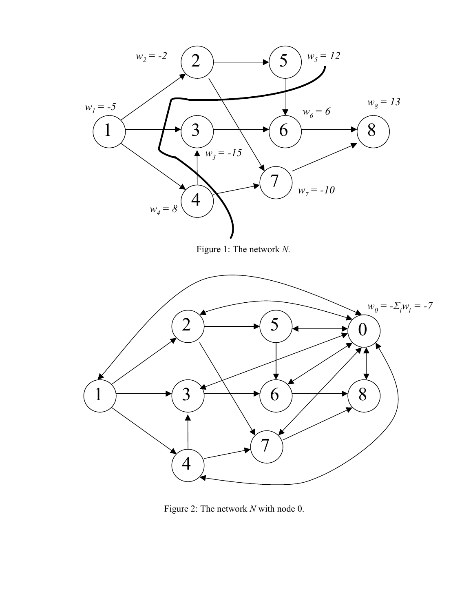

Figure 2: The network *N* with node 0.